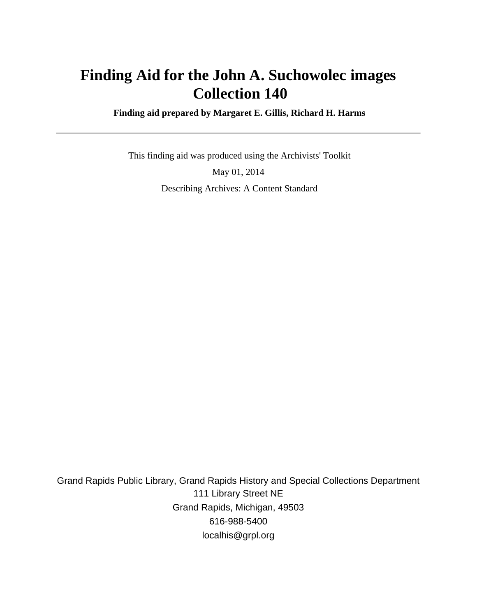# **Finding Aid for the John A. Suchowolec images Collection 140**

 **Finding aid prepared by Margaret E. Gillis, Richard H. Harms**

 This finding aid was produced using the Archivists' Toolkit May 01, 2014 Describing Archives: A Content Standard

Grand Rapids Public Library, Grand Rapids History and Special Collections Department 111 Library Street NE Grand Rapids, Michigan, 49503 616-988-5400 localhis@grpl.org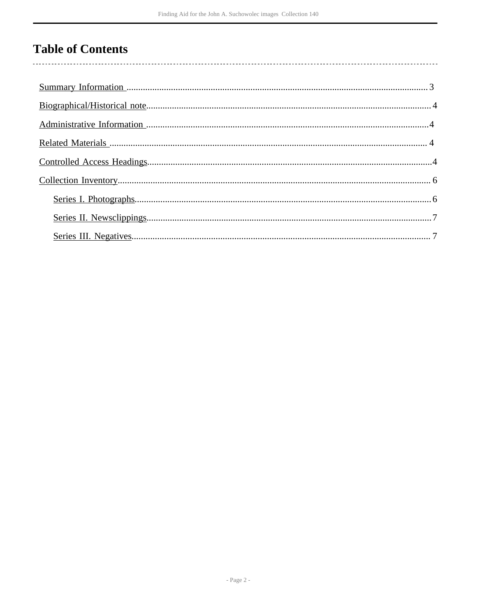# **Table of Contents**

 $\overline{\phantom{a}}$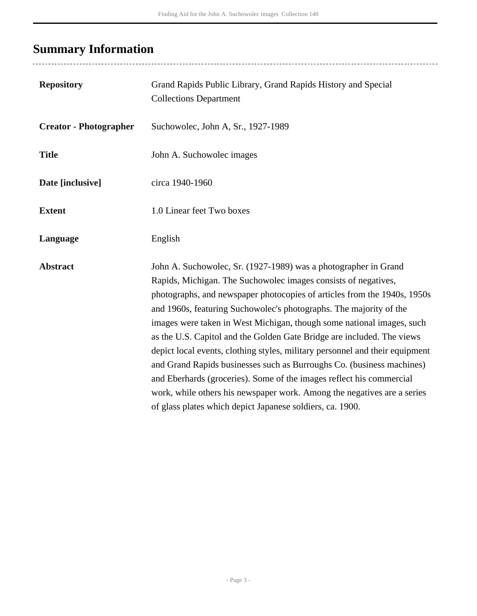# <span id="page-2-0"></span>**Summary Information**

| <b>Repository</b>             | Grand Rapids Public Library, Grand Rapids History and Special<br><b>Collections Department</b>                                                                                                                                                                                                                                                                                                                                                                                                                                                                                                                                                                                                                                                                                                                  |
|-------------------------------|-----------------------------------------------------------------------------------------------------------------------------------------------------------------------------------------------------------------------------------------------------------------------------------------------------------------------------------------------------------------------------------------------------------------------------------------------------------------------------------------------------------------------------------------------------------------------------------------------------------------------------------------------------------------------------------------------------------------------------------------------------------------------------------------------------------------|
| <b>Creator - Photographer</b> | Suchowolec, John A, Sr., 1927-1989                                                                                                                                                                                                                                                                                                                                                                                                                                                                                                                                                                                                                                                                                                                                                                              |
| <b>Title</b>                  | John A. Suchowolec images                                                                                                                                                                                                                                                                                                                                                                                                                                                                                                                                                                                                                                                                                                                                                                                       |
| Date [inclusive]              | circa 1940-1960                                                                                                                                                                                                                                                                                                                                                                                                                                                                                                                                                                                                                                                                                                                                                                                                 |
| <b>Extent</b>                 | 1.0 Linear feet Two boxes                                                                                                                                                                                                                                                                                                                                                                                                                                                                                                                                                                                                                                                                                                                                                                                       |
| Language                      | English                                                                                                                                                                                                                                                                                                                                                                                                                                                                                                                                                                                                                                                                                                                                                                                                         |
| <b>Abstract</b>               | John A. Suchowolec, Sr. (1927-1989) was a photographer in Grand<br>Rapids, Michigan. The Suchowolec images consists of negatives,<br>photographs, and newspaper photocopies of articles from the 1940s, 1950s<br>and 1960s, featuring Suchowolec's photographs. The majority of the<br>images were taken in West Michigan, though some national images, such<br>as the U.S. Capitol and the Golden Gate Bridge are included. The views<br>depict local events, clothing styles, military personnel and their equipment<br>and Grand Rapids businesses such as Burroughs Co. (business machines)<br>and Eberhards (groceries). Some of the images reflect his commercial<br>work, while others his newspaper work. Among the negatives are a series<br>of glass plates which depict Japanese soldiers, ca. 1900. |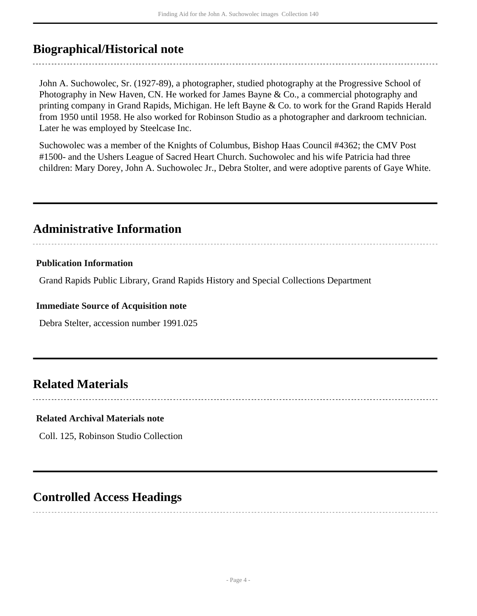## <span id="page-3-0"></span>**Biographical/Historical note**

John A. Suchowolec, Sr. (1927-89), a photographer, studied photography at the Progressive School of Photography in New Haven, CN. He worked for James Bayne & Co., a commercial photography and printing company in Grand Rapids, Michigan. He left Bayne & Co. to work for the Grand Rapids Herald from 1950 until 1958. He also worked for Robinson Studio as a photographer and darkroom technician. Later he was employed by Steelcase Inc.

Suchowolec was a member of the Knights of Columbus, Bishop Haas Council #4362; the CMV Post #1500- and the Ushers League of Sacred Heart Church. Suchowolec and his wife Patricia had three children: Mary Dorey, John A. Suchowolec Jr., Debra Stolter, and were adoptive parents of Gaye White.

## <span id="page-3-1"></span>**Administrative Information**

### **Publication Information**

Grand Rapids Public Library, Grand Rapids History and Special Collections Department

#### **Immediate Source of Acquisition note**

Debra Stelter, accession number 1991.025

## <span id="page-3-2"></span>**Related Materials**

#### **Related Archival Materials note**

Coll. 125, Robinson Studio Collection

## <span id="page-3-3"></span>**Controlled Access Headings**

- Page 4 -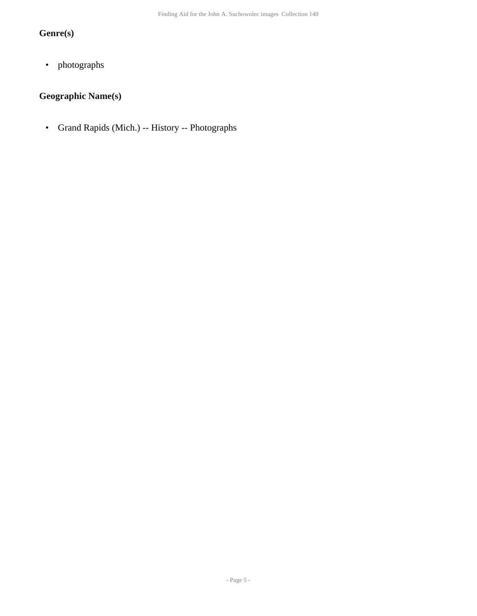## **Genre(s)**

• photographs

## **Geographic Name(s)**

• Grand Rapids (Mich.) -- History -- Photographs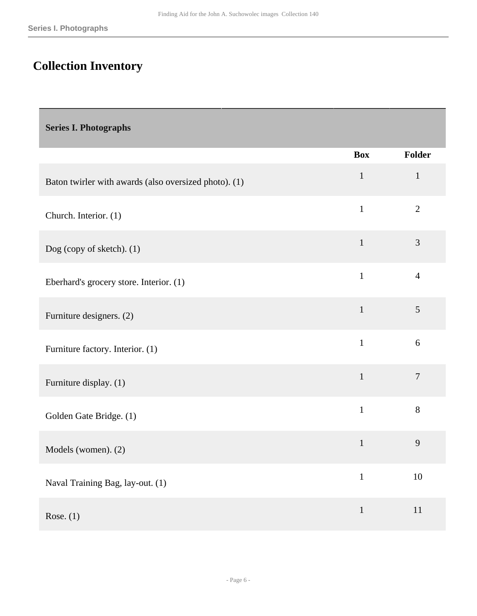# <span id="page-5-0"></span>**Collection Inventory**

### <span id="page-5-1"></span>**Series I. Photographs**

|                                                       | <b>Box</b>   | Folder         |
|-------------------------------------------------------|--------------|----------------|
| Baton twirler with awards (also oversized photo). (1) | $\mathbf{1}$ | $\mathbf{1}$   |
| Church. Interior. (1)                                 | $\mathbf{1}$ | $\overline{2}$ |
| Dog (copy of sketch). (1)                             | $\mathbf{1}$ | $\overline{3}$ |
| Eberhard's grocery store. Interior. (1)               | $\mathbf{1}$ | $\overline{4}$ |
| Furniture designers. (2)                              | $\mathbf{1}$ | 5              |
| Furniture factory. Interior. (1)                      | $\mathbf{1}$ | 6              |
| Furniture display. (1)                                | $\mathbf{1}$ | $\overline{7}$ |
| Golden Gate Bridge. (1)                               | $\mathbf{1}$ | 8              |
| Models (women). (2)                                   | $\mathbf{1}$ | 9              |
| Naval Training Bag, lay-out. (1)                      | $\mathbf{1}$ | 10             |
| Rose. $(1)$                                           | $\mathbf{1}$ | 11             |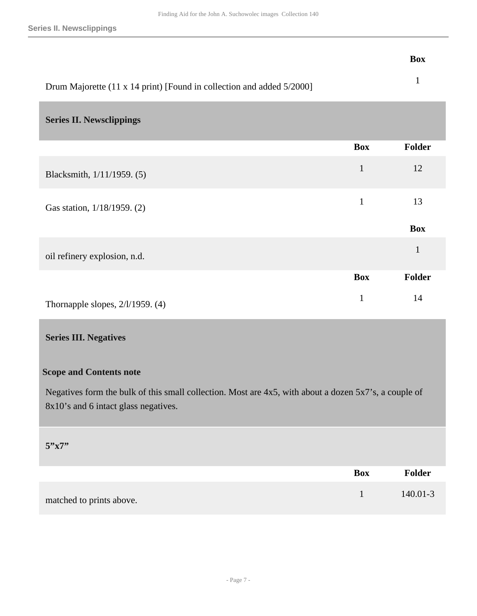**Series II. Newsclippings**

#### **Box**

| Drum Majorette (11 x 14 print) [Found in collection and added 5/2000] |  |
|-----------------------------------------------------------------------|--|

### <span id="page-6-0"></span>**Series II. Newsclippings**

|                                     | <b>Box</b>   | Folder       |
|-------------------------------------|--------------|--------------|
| Blacksmith, 1/11/1959. (5)          | $\mathbf{1}$ | 12           |
| Gas station, 1/18/1959. (2)         | 1            | 13           |
|                                     |              | <b>Box</b>   |
| oil refinery explosion, n.d.        |              | $\mathbf{1}$ |
|                                     | <b>Box</b>   | Folder       |
| Thornapple slopes, $2/1/1959$ . (4) | 1            | 14           |

### <span id="page-6-1"></span>**Series III. Negatives**

### **Scope and Contents note**

Negatives form the bulk of this small collection. Most are 4x5, with about a dozen 5x7's, a couple of 8x10's and 6 intact glass negatives.

#### **5"x7"**

|                          | <b>Box</b> | <b>Folder</b> |
|--------------------------|------------|---------------|
| matched to prints above. |            | $140.01 - 3$  |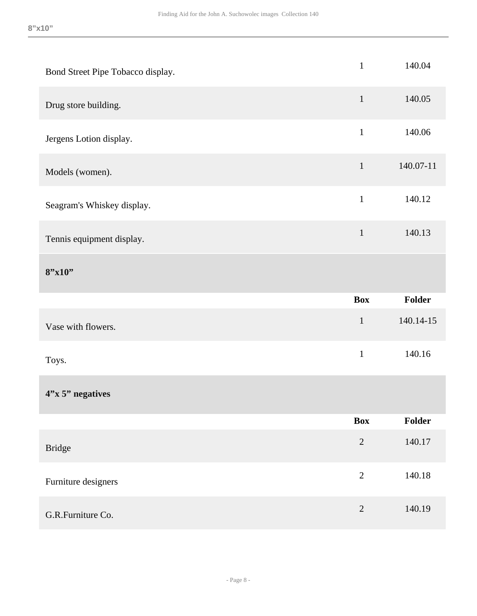| Bond Street Pipe Tobacco display. | $\mathbf{1}$   | 140.04        |
|-----------------------------------|----------------|---------------|
| Drug store building.              | $\mathbf{1}$   | 140.05        |
| Jergens Lotion display.           | $\mathbf{1}$   | 140.06        |
| Models (women).                   | $\mathbf{1}$   | 140.07-11     |
| Seagram's Whiskey display.        | $1\,$          | 140.12        |
| Tennis equipment display.         | $\mathbf{1}$   | 140.13        |
| 8''x10''                          |                |               |
|                                   |                |               |
|                                   | <b>Box</b>     | <b>Folder</b> |
| Vase with flowers.                | $\mathbf 1$    | 140.14-15     |
| Toys.                             | $\mathbf{1}$   | 140.16        |
| $4"x 5"$ negatives                |                |               |
|                                   | <b>Box</b>     | Folder        |
| <b>Bridge</b>                     | $\overline{2}$ | 140.17        |
| Furniture designers               | $\overline{2}$ | 140.18        |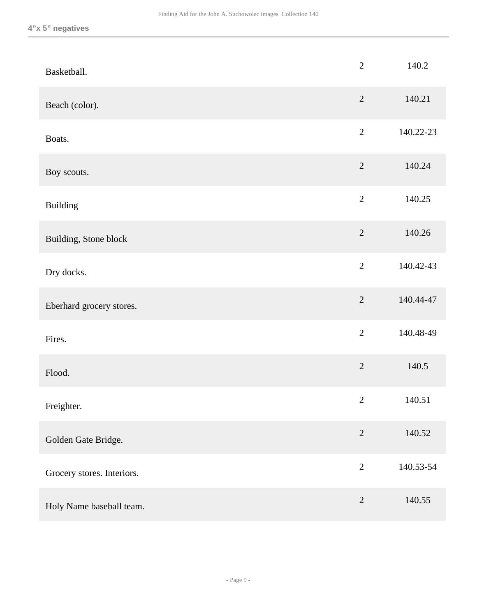| Basketball.                | $\overline{2}$ | 140.2     |
|----------------------------|----------------|-----------|
| Beach (color).             | $\overline{2}$ | 140.21    |
| Boats.                     | $\overline{2}$ | 140.22-23 |
| Boy scouts.                | $\overline{2}$ | 140.24    |
| <b>Building</b>            | $\overline{2}$ | 140.25    |
| Building, Stone block      | $\overline{2}$ | 140.26    |
| Dry docks.                 | $\overline{2}$ | 140.42-43 |
| Eberhard grocery stores.   | $\overline{2}$ | 140.44-47 |
| Fires.                     | $\overline{2}$ | 140.48-49 |
| Flood.                     | $\overline{2}$ | 140.5     |
| Freighter.                 | $\sqrt{2}$     | 140.51    |
| Golden Gate Bridge.        | $\overline{2}$ | 140.52    |
| Grocery stores. Interiors. | $\overline{2}$ | 140.53-54 |
| Holy Name baseball team.   | $\sqrt{2}$     | 140.55    |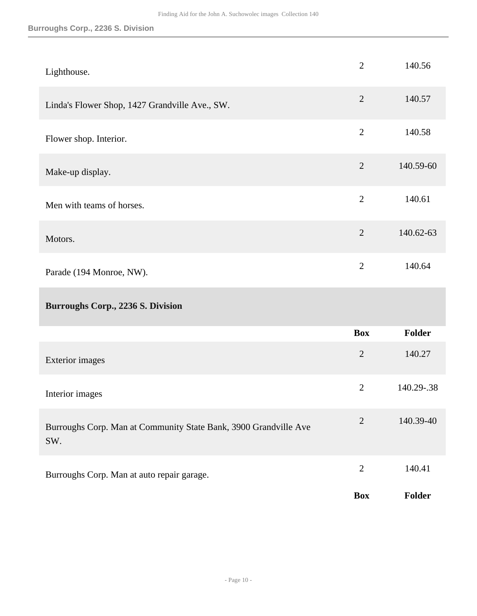### **Burroughs Corp., 2236 S. Division**

| Lighthouse.                                                             | $\overline{2}$ | 140.56        |
|-------------------------------------------------------------------------|----------------|---------------|
| Linda's Flower Shop, 1427 Grandville Ave., SW.                          | $\overline{2}$ | 140.57        |
| Flower shop. Interior.                                                  | $\overline{2}$ | 140.58        |
| Make-up display.                                                        | $\overline{2}$ | 140.59-60     |
| Men with teams of horses.                                               | $\overline{2}$ | 140.61        |
| Motors.                                                                 | $\overline{2}$ | 140.62-63     |
| Parade (194 Monroe, NW).                                                | $\overline{2}$ | 140.64        |
| Burroughs Corp., 2236 S. Division                                       |                |               |
|                                                                         | <b>Box</b>     | <b>Folder</b> |
| <b>Exterior images</b>                                                  | $\overline{2}$ | 140.27        |
| Interior images                                                         | $\overline{2}$ | 140.29-.38    |
| Burroughs Corp. Man at Community State Bank, 3900 Grandville Ave<br>SW. | $\overline{2}$ | 140.39-40     |
| Burroughs Corp. Man at auto repair garage.                              | $\overline{2}$ | 140.41        |
|                                                                         | <b>Box</b>     | Folder        |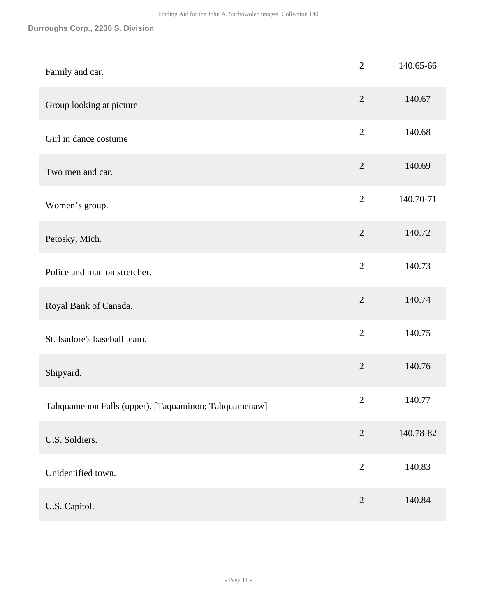| Family and car.                                      | $\overline{2}$ | 140.65-66 |
|------------------------------------------------------|----------------|-----------|
| Group looking at picture                             | $\overline{2}$ | 140.67    |
| Girl in dance costume                                | $\overline{2}$ | 140.68    |
| Two men and car.                                     | $\overline{2}$ | 140.69    |
| Women's group.                                       | $\overline{2}$ | 140.70-71 |
| Petosky, Mich.                                       | $\overline{2}$ | 140.72    |
| Police and man on stretcher.                         | $\overline{2}$ | 140.73    |
| Royal Bank of Canada.                                | $\overline{2}$ | 140.74    |
| St. Isadore's baseball team.                         | $\overline{2}$ | 140.75    |
| Shipyard.                                            | $\overline{2}$ | 140.76    |
| Tahquamenon Falls (upper). [Taquaminon; Tahquamenaw] | $\mathfrak{2}$ | 140.77    |
| U.S. Soldiers.                                       | $\overline{2}$ | 140.78-82 |
| Unidentified town.                                   | $\overline{2}$ | 140.83    |
| U.S. Capitol.                                        | $\overline{2}$ | 140.84    |